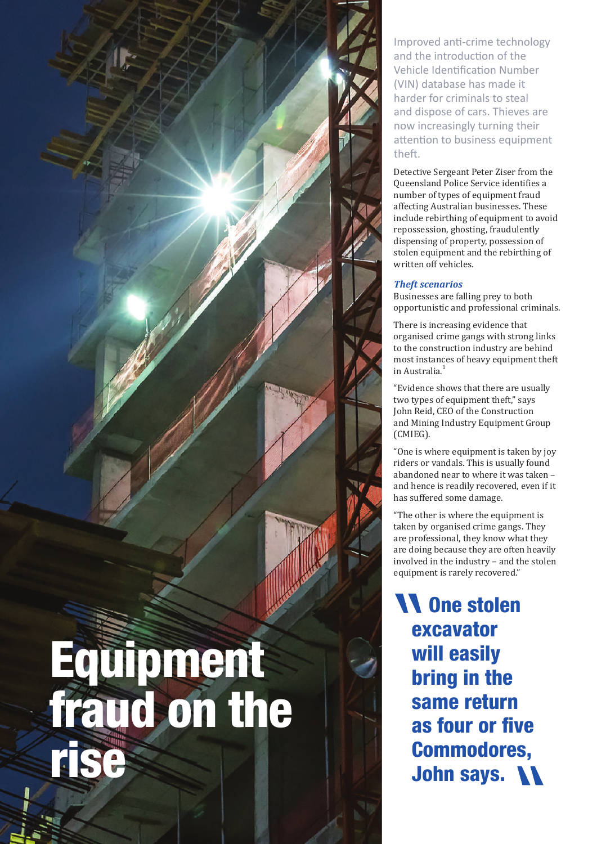

Improved anti-crime technology and the introduction of the Vehicle Identification Number (VIN) database has made it harder for criminals to steal and dispose of cars. Thieves are now increasingly turning their attention to business equipment theft.

Detective Sergeant Peter Ziser from the Queensland Police Service identifies a number of types of equipment fraud affecting Australian businesses. These include rebirthing of equipment to avoid repossession, ghosting, fraudulently dispensing of property, possession of stolen equipment and the rebirthing of written off vehicles.

# *Theft scenarios*

Businesses are falling prey to both opportunistic and professional criminals.

There is increasing evidence that organised crime gangs with strong links to the construction industry are behind most instances of heavy equipment theft in Australia.<sup>1</sup>

"Evidence shows that there are usually two types of equipment theft," says John Reid, CEO of the Construction and Mining Industry Equipment Group (CMIEG).

"One is where equipment is taken by joy riders or vandals. This is usually found abandoned near to where it was taken – and hence is readily recovered, even if it has suffered some damage.

"The other is where the equipment is taken by organised crime gangs. They are professional, they know what they are doing because they are often heavily involved in the industry – and the stolen equipment is rarely recovered."

**N** One stolen excavator will easily bring in the same return as four or five Commodores, John says. **\\**